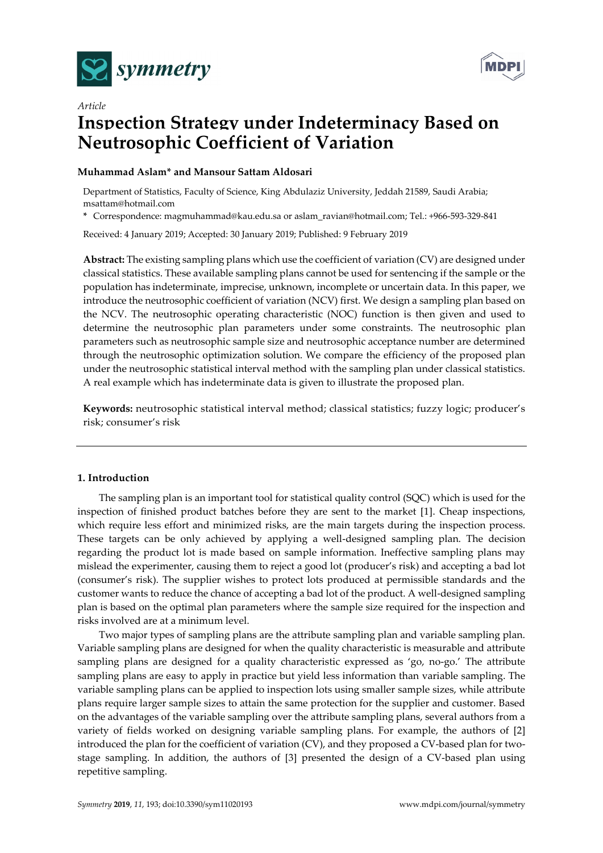

*Article* 



# **Inspection Strategy under Indeterminacy Based on Neutrosophic Coefficient of Variation**

## **Muhammad Aslam\* and Mansour Sattam Aldosari**

Department of Statistics, Faculty of Science, King Abdulaziz University, Jeddah 21589, Saudi Arabia; msattam@hotmail.com

**\*** Correspondence: magmuhammad@kau.edu.sa or aslam\_ravian@hotmail.com; Tel.: +966-593-329-841

Received: 4 January 2019; Accepted: 30 January 2019; Published: 9 February 2019

**Abstract:** The existing sampling plans which use the coefficient of variation (CV) are designed under classical statistics. These available sampling plans cannot be used for sentencing if the sample or the population has indeterminate, imprecise, unknown, incomplete or uncertain data. In this paper, we introduce the neutrosophic coefficient of variation (NCV) first. We design a sampling plan based on the NCV. The neutrosophic operating characteristic (NOC) function is then given and used to determine the neutrosophic plan parameters under some constraints. The neutrosophic plan parameters such as neutrosophic sample size and neutrosophic acceptance number are determined through the neutrosophic optimization solution. We compare the efficiency of the proposed plan under the neutrosophic statistical interval method with the sampling plan under classical statistics. A real example which has indeterminate data is given to illustrate the proposed plan.

**Keywords:** neutrosophic statistical interval method; classical statistics; fuzzy logic; producer's risk; consumer's risk

# **1. Introduction**

The sampling plan is an important tool for statistical quality control (SQC) which is used for the inspection of finished product batches before they are sent to the market [1]. Cheap inspections, which require less effort and minimized risks, are the main targets during the inspection process. These targets can be only achieved by applying a well-designed sampling plan. The decision regarding the product lot is made based on sample information. Ineffective sampling plans may mislead the experimenter, causing them to reject a good lot (producer's risk) and accepting a bad lot (consumer's risk). The supplier wishes to protect lots produced at permissible standards and the customer wants to reduce the chance of accepting a bad lot of the product. A well-designed sampling plan is based on the optimal plan parameters where the sample size required for the inspection and risks involved are at a minimum level.

Two major types of sampling plans are the attribute sampling plan and variable sampling plan. Variable sampling plans are designed for when the quality characteristic is measurable and attribute sampling plans are designed for a quality characteristic expressed as 'go, no-go.' The attribute sampling plans are easy to apply in practice but yield less information than variable sampling. The variable sampling plans can be applied to inspection lots using smaller sample sizes, while attribute plans require larger sample sizes to attain the same protection for the supplier and customer. Based on the advantages of the variable sampling over the attribute sampling plans, several authors from a variety of fields worked on designing variable sampling plans. For example, the authors of [2] introduced the plan for the coefficient of variation (CV), and they proposed a CV-based plan for twostage sampling. In addition, the authors of [3] presented the design of a CV-based plan using repetitive sampling.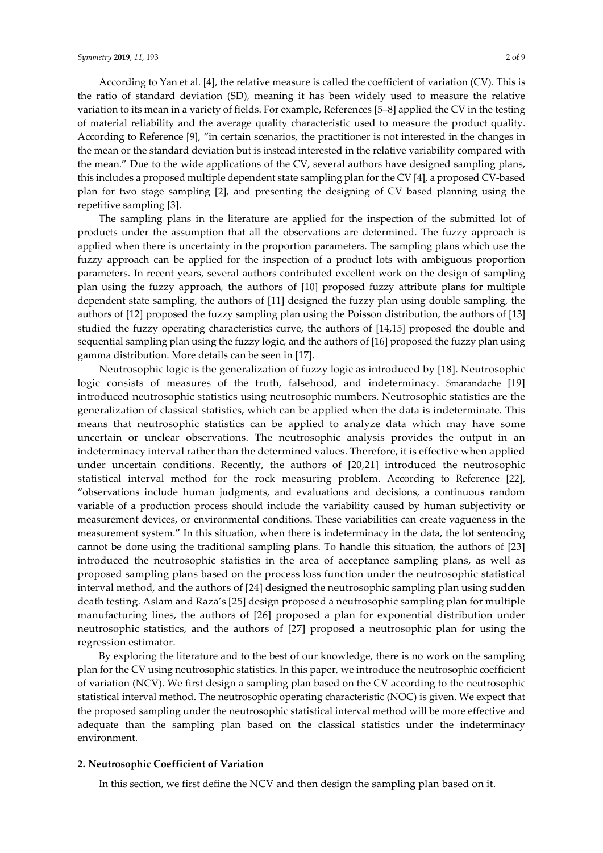According to Yan et al. [4], the relative measure is called the coefficient of variation (CV). This is the ratio of standard deviation (SD), meaning it has been widely used to measure the relative variation to its mean in a variety of fields. For example, References [5–8] applied the CV in the testing of material reliability and the average quality characteristic used to measure the product quality. According to Reference [9], "in certain scenarios, the practitioner is not interested in the changes in the mean or the standard deviation but is instead interested in the relative variability compared with

the mean." Due to the wide applications of the CV, several authors have designed sampling plans, this includes a proposed multiple dependent state sampling plan for the CV [4], a proposed CV-based plan for two stage sampling [2], and presenting the designing of CV based planning using the repetitive sampling [3].

The sampling plans in the literature are applied for the inspection of the submitted lot of products under the assumption that all the observations are determined. The fuzzy approach is applied when there is uncertainty in the proportion parameters. The sampling plans which use the fuzzy approach can be applied for the inspection of a product lots with ambiguous proportion parameters. In recent years, several authors contributed excellent work on the design of sampling plan using the fuzzy approach, the authors of [10] proposed fuzzy attribute plans for multiple dependent state sampling, the authors of [11] designed the fuzzy plan using double sampling, the authors of [12] proposed the fuzzy sampling plan using the Poisson distribution, the authors of [13] studied the fuzzy operating characteristics curve, the authors of [14,15] proposed the double and sequential sampling plan using the fuzzy logic, and the authors of [16] proposed the fuzzy plan using gamma distribution. More details can be seen in [17].

Neutrosophic logic is the generalization of fuzzy logic as introduced by [18]. Neutrosophic logic consists of measures of the truth, falsehood, and indeterminacy. Smarandache [19] introduced neutrosophic statistics using neutrosophic numbers. Neutrosophic statistics are the generalization of classical statistics, which can be applied when the data is indeterminate. This means that neutrosophic statistics can be applied to analyze data which may have some uncertain or unclear observations. The neutrosophic analysis provides the output in an indeterminacy interval rather than the determined values. Therefore, it is effective when applied under uncertain conditions. Recently, the authors of [20,21] introduced the neutrosophic statistical interval method for the rock measuring problem. According to Reference [22], "observations include human judgments, and evaluations and decisions, a continuous random variable of a production process should include the variability caused by human subjectivity or measurement devices, or environmental conditions. These variabilities can create vagueness in the measurement system." In this situation, when there is indeterminacy in the data, the lot sentencing cannot be done using the traditional sampling plans. To handle this situation, the authors of [23] introduced the neutrosophic statistics in the area of acceptance sampling plans, as well as proposed sampling plans based on the process loss function under the neutrosophic statistical interval method, and the authors of [24] designed the neutrosophic sampling plan using sudden death testing. Aslam and Raza's [25] design proposed a neutrosophic sampling plan for multiple manufacturing lines, the authors of [26] proposed a plan for exponential distribution under neutrosophic statistics, and the authors of [27] proposed a neutrosophic plan for using the regression estimator.

By exploring the literature and to the best of our knowledge, there is no work on the sampling plan for the CV using neutrosophic statistics. In this paper, we introduce the neutrosophic coefficient of variation (NCV). We first design a sampling plan based on the CV according to the neutrosophic statistical interval method. The neutrosophic operating characteristic (NOC) is given. We expect that the proposed sampling under the neutrosophic statistical interval method will be more effective and adequate than the sampling plan based on the classical statistics under the indeterminacy environment.

## **2. Neutrosophic Coefficient of Variation**

In this section, we first define the NCV and then design the sampling plan based on it.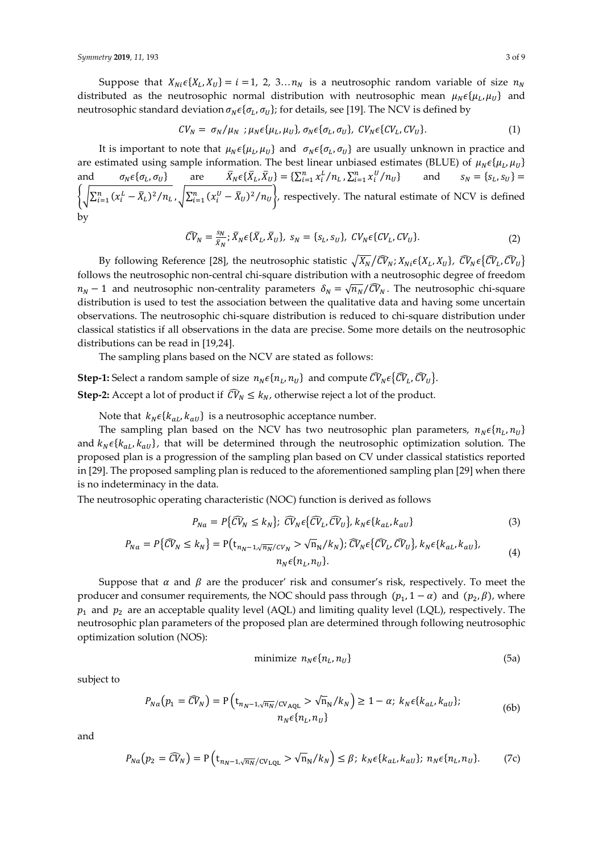Suppose that  $X_{Ni} \in \{X_L, X_U\} = i = 1, 2, 3...n_N$  is a neutrosophic random variable of size  $n_N$ distributed as the neutrosophic normal distribution with neutrosophic mean  $\mu_N \epsilon {\mu_L, \mu_U}$  and neutrosophic standard deviation  $\sigma_N \epsilon \{\sigma_L, \sigma_H\}$ ; for details, see [19]. The NCV is defined by

$$
CV_N = \sigma_N/\mu_N \ ; \mu_N \epsilon \{\mu_L, \mu_U\}, \sigma_N \epsilon \{\sigma_L, \sigma_U\}, \ CV_N \epsilon \{CV_L, CV_U\}. \tag{1}
$$

It is important to note that  $\mu_N \epsilon \{\mu_L, \mu_U\}$  and  $\sigma_N \epsilon \{\sigma_L, \sigma_U\}$  are usually unknown in practice and are estimated using sample information. The best linear unbiased estimates (BLUE) of  $\mu_N \epsilon \{\mu_L, \mu_U\}$ and  $\sigma_N \epsilon \{\sigma_L, \sigma_U\}$  are  $\bar{X}_N \epsilon \{\bar{X}_L, \bar{X}_U\} = {\sum_{i=1}^n x_i^L / n_L}, \sum_{i=1}^n x_i^U / n_U$  and  $s_N = {s_L, s_U}$  $\left\{\sqrt{\sum_{i=1}^n(x_i^L-\bar{X}_L)^2/n_L}, \sqrt{\sum_{i=1}^n(x_i^U-\bar{X}_U)^2/n_U}\right\}$ , respectively. The natural estimate of NCV is defined by

$$
\widehat{CV}_N = \frac{s_N}{\bar{x}_N}; \bar{X}_N \in {\{\bar{X}_L, \bar{X}_U\}}, \quad s_N = \{s_L, s_U\}, \quad CV_N \in \{CV_L, CV_U\}.
$$
\n<sup>(2)</sup>

By following Reference [28], the neutrosophic statistic  $\sqrt{X_N}/\widehat{CV}_N$ ;  $X_{Ni}\in\{X_L,X_U\}$ ,  $\widehat{CV}_N\in\{\widehat{CV}_L,\widehat{CV}_U\}$ follows the neutrosophic non-central chi-square distribution with a neutrosophic degree of freedom  $n_N - 1$  and neutrosophic non-centrality parameters  $\delta_N = \sqrt{n_N}/\widehat{CV}_N$ . The neutrosophic chi-square distribution is used to test the association between the qualitative data and having some uncertain observations. The neutrosophic chi-square distribution is reduced to chi-square distribution under classical statistics if all observations in the data are precise. Some more details on the neutrosophic distributions can be read in [19,24].

The sampling plans based on the NCV are stated as follows:

**Step-1:** Select a random sample of size  $n_N \epsilon \{n_L, n_U\}$  and compute  $\widehat{CV}_{N} \epsilon \{ \widehat{CV}_{L}, \widehat{CV}_{U} \}$ . **Step-2:** Accept a lot of product if  $\widehat{CV}_N \leq k_N$ , otherwise reject a lot of the product.

Note that  $k_N \epsilon \{k_{aL}, k_{aU}\}\$  is a neutrosophic acceptance number.

The sampling plan based on the NCV has two neutrosophic plan parameters,  ${n_N} \epsilon \{n_l, n_l\}$ and  $k_N \epsilon \{k_{a_l}, k_{a_l}\}$ , that will be determined through the neutrosophic optimization solution. The proposed plan is a progression of the sampling plan based on CV under classical statistics reported in [29]. The proposed sampling plan is reduced to the aforementioned sampling plan [29] when there is no indeterminacy in the data.

The neutrosophic operating characteristic (NOC) function is derived as follows

$$
P_{Na} = P\{\widehat{CV}_N \le k_N\}; \ \widehat{CV}_N \epsilon \{\widehat{CV}_L, \widehat{CV}_U\}, \ k_N \epsilon \{k_{aL}, k_{aU}\} \tag{3}
$$

$$
P_{Na} = P\{\widehat{CV}_N \le k_N\} = P(t_{n_N-1,\sqrt{n_N}/CV_N} > \sqrt{n_N}/k_N); \widehat{CV}_N \in \{\widehat{CV}_L, \widehat{CV}_U\}, k_N \in \{k_{aL}, k_{aU}\},
$$
  
\n
$$
n_N \in \{n_L, n_U\}.
$$
\n(4)

Suppose that  $\alpha$  and  $\beta$  are the producer' risk and consumer's risk, respectively. To meet the producer and consumer requirements, the NOC should pass through  $(p_1, 1 - \alpha)$  and  $(p_2, \beta)$ , where  $p_1$  and  $p_2$  are an acceptable quality level (AQL) and limiting quality level (LQL), respectively. The neutrosophic plan parameters of the proposed plan are determined through following neutrosophic optimization solution (NOS):

$$
minimize \t n_N \epsilon \{n_L, n_U\} \t\t(5a)
$$

subject to

$$
P_{Na}(p_1 = \widehat{CV}_N) = P(t_{n_N - 1, \sqrt{n_N}/CV_{AQL}} > \sqrt{n_N}/k_N) \ge 1 - \alpha; \ k_N \epsilon \{k_{aL}, k_{aU}\};
$$
\n
$$
n_N \epsilon \{n_L, n_U\}
$$
\n
$$
(6b)
$$

and

$$
P_{Na}(p_2 = \widehat{CV}_N) = P\left(t_{n_N - 1, \sqrt{n_N}/CV_{LQL}} > \sqrt{n_N}/k_N\right) \le \beta; \ k_N \in \{k_{aL}, k_{aU}\}; \ n_N \in \{n_L, n_U\}.\tag{7c}
$$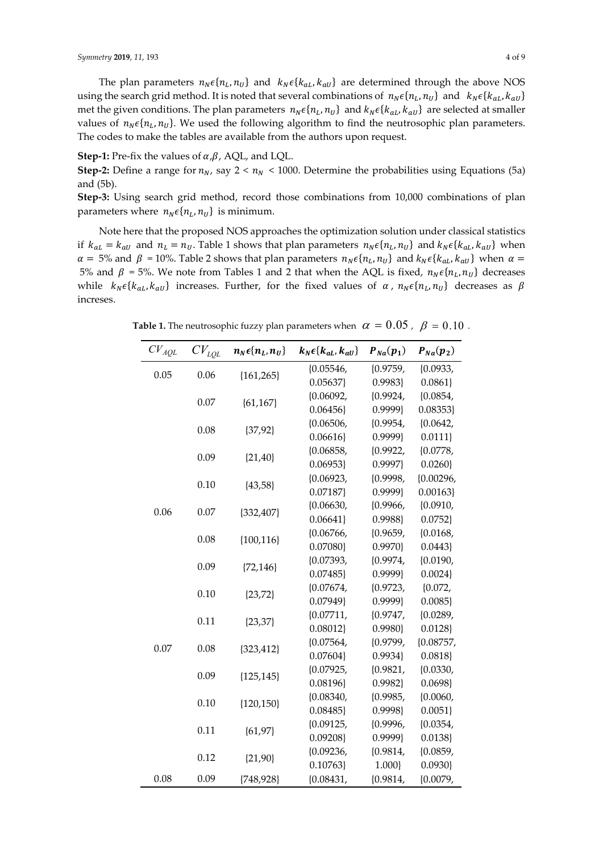The plan parameters  $n_N \epsilon \{n_L, n_U\}$  and  $k_N \epsilon \{k_{aL}, k_{aU}\}$  are determined through the above NOS using the search grid method. It is noted that several combinations of  $n_N \epsilon \{n_L, n_U\}$  and  $k_N \epsilon \{k_{aL}, k_{aU}\}$ met the given conditions. The plan parameters  ${n_N \epsilon}{n_L, n_U}$  and  ${k_N \epsilon}{k_{aL}, k_{aU}}$  are selected at smaller values of  $n_N \epsilon \{n_l, n_{ll}\}\.$  We used the following algorithm to find the neutrosophic plan parameters. The codes to make the tables are available from the authors upon request.

**Step-1:** Pre-fix the values of  $\alpha$ , $\beta$ , AQL, and LQL.

**Step-2:** Define a range for  $n_N$ , say  $2 < n_N < 1000$ . Determine the probabilities using Equations (5a) and (5b).

**Step-3:** Using search grid method, record those combinations from 10,000 combinations of plan parameters where  $n_N \epsilon \{n_L, n_U\}$  is minimum.

Note here that the proposed NOS approaches the optimization solution under classical statistics if  $k_{a} = k_{a}$  and  $n_{L} = n_{U}$ . Table 1 shows that plan parameters  $n_{N} \epsilon \{n_{L}, n_{U}\}$  and  $k_{N} \epsilon \{k_{a}k, k_{a}k_{b}\}$  when  $\alpha = 5%$  and  $\beta = 10%$ . Table 2 shows that plan parameters  $n_N \epsilon \{n_L, n_U\}$  and  $k_N \epsilon \{k_{aL}, k_{aU}\}\$  when  $\alpha =$ 5% and  $\beta$  = 5%. We note from Tables 1 and 2 that when the AQL is fixed,  $n_{N} \epsilon \{n_{L}, n_{U}\}$  decreases while  $k_N \epsilon \{k_{a,i}, k_{aij}\}$  increases. Further, for the fixed values of  $\alpha$ ,  $n_N \epsilon \{n_i, n_{ij}\}$  decreases as  $\beta$ increses.

| $CV_{AQL}$ | $CV_{{\mathcal{L}}{\mathcal{Q}}{\mathcal{L}}}$ | $n_N \epsilon\{n_L, n_U\}$ | $k_N \epsilon \{k_{aL}, k_{aU}\}$ | $P_{Na}(p_1)$ | $P_{Na}(p_2)$ |
|------------|------------------------------------------------|----------------------------|-----------------------------------|---------------|---------------|
| 0.05       | 0.06                                           |                            | ${0.05546,}$                      | ${0.9759,}$   | ${0.0933,$    |
|            |                                                | ${161,265}$                | 0.05637                           | 0.9983        | 0.0861        |
|            | 0.07                                           |                            | ${0.06092,}$                      | ${0.9924,$    | ${0.0854,$    |
|            |                                                | ${61,167}$                 | 0.06456                           | 0.9999}       | 0.08353       |
|            | 0.08                                           | ${37,92}$                  | ${0.06506,}$                      | ${0.9954,$    | ${0.0642,$    |
|            |                                                |                            | 0.06616                           | 0.9999}       | 0.0111        |
|            | 0.09                                           | ${21,40}$                  | ${0.06858,}$                      | ${0.9922,}$   | ${0.0778,}$   |
|            |                                                |                            | 0.06953                           | 0.9997        | 0.0260        |
|            | 0.10                                           | ${43,58}$                  | ${0.06923,$                       | ${0.9998,$    | ${0.00296,$   |
|            |                                                |                            | 0.07187                           | 0.9999}       | 0.00163       |
| 0.06       | 0.07                                           |                            | ${0.06630,}$                      | ${0.9966,$    | ${0.0910,}$   |
|            |                                                | ${332,407}$                | 0.06641                           | 0.9988        | 0.0752        |
|            | 0.08                                           | ${100, 116}$               | ${0.06766,$                       | ${0.9659,$    | ${0.0168,}$   |
|            |                                                |                            | 0.07080                           | 0.9970        | 0.0443        |
|            | 0.09                                           | ${72,146}$                 | ${0.07393,}$                      | ${0.9974,$    | ${0.0190,}$   |
|            |                                                |                            | 0.07485                           | 0.9999        | 0.0024        |
|            | 0.10                                           | ${23,72}$                  | ${0.07674,}$                      | ${0.9723,}$   | ${0.072,$     |
|            |                                                |                            | 0.07949                           | 0.9999        | 0.0085        |
|            | 0.11                                           | ${23,37}$                  | ${0.07711,}$                      | ${0.9747,}$   | ${0.0289,$    |
|            |                                                |                            | 0.08012                           | 0.9980        | 0.0128        |
| 0.07       | 0.08                                           | ${323,412}$                | ${0.07564,}$                      | ${0.9799,$    | ${0.08757}$   |
|            |                                                |                            | 0.07604                           | 0.9934        | 0.0818        |
|            | 0.09                                           | ${125,145}$                | ${0.07925,}$                      | ${0.9821,}$   | ${0.0330,}$   |
|            |                                                |                            | 0.08196                           | 0.9982        | 0.0698        |
|            | 0.10                                           | ${120,150}$                | ${0.08340,}$                      | ${0.9985,$    | ${0.0060,}$   |
|            |                                                |                            | 0.08485                           | 0.9998        | 0.0051        |
|            | 0.11                                           | ${61,97}$                  | ${0.09125,}$                      | ${0.9996,$    | ${0.0354,}$   |
|            |                                                |                            | 0.09208                           | 0.9999}       | 0.0138        |
|            | 0.12                                           | ${21,90}$                  | ${0.09236,$                       | ${0.9814,$    | ${0.0859,$    |
|            |                                                |                            | 0.10763                           | 1.000}        | 0.0930        |
| 0.08       | 0.09                                           | ${748,928}$                | ${0.08431,}$                      | ${0.9814,$    | ${0.0079,$    |

**Table 1.** The neutrosophic fuzzy plan parameters when  $\alpha = 0.05$ ,  $\beta = 0.10$ .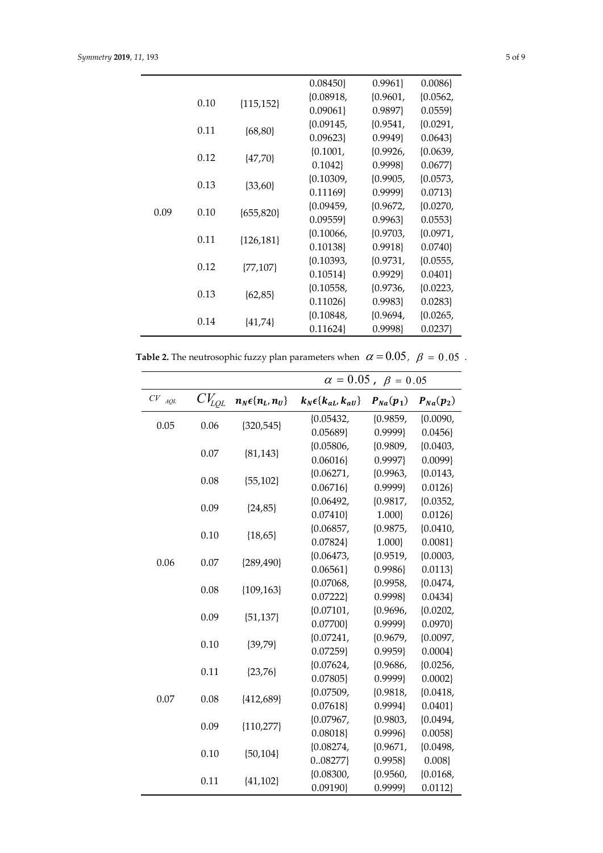|      |      |             | 0.08450      | 0.9961      | 0.0086      |
|------|------|-------------|--------------|-------------|-------------|
|      | 0.10 | ${115,152}$ | ${0.08918,}$ | $\{0.9601,$ | $\{0.0562,$ |
|      |      |             | 0.09061      | 0.9897      | 0.0559      |
|      | 0.11 | ${68,80}$   | ${0.09145,}$ | ${0.9541,}$ | ${0.0291,$  |
|      |      |             | 0.09623      | 0.9949      | 0.0643      |
|      | 0.12 | ${47,70}$   | ${0.1001,}$  | ${0.9926,$  | ${0.0639,$  |
|      |      |             | 0.1042       | 0.9998      | 0.0677      |
|      | 0.13 | ${33,60}$   | ${0.10309,$  | ${0.9905,}$ | ${0.0573,}$ |
|      |      |             | 0.11169      | $0.9999\}$  | 0.0713      |
| 0.09 | 0.10 | ${655,820}$ | ${0.09459,$  | ${0.9672,}$ | ${0.0270,}$ |
|      |      |             | 0.09559      | 0.9963      | 0.0553      |
|      | 0.11 | ${126,181}$ | ${0.10066}$  | ${0.9703,}$ | ${0.0971,}$ |
|      |      |             | 0.10138      | 0.9918      | 0.0740      |
|      | 0.12 | ${77, 107}$ | ${0.10393,}$ | ${0.9731,}$ | ${0.0555}$  |
|      |      |             | 0.10514      | 0.9929      | 0.0401      |
|      | 0.13 | ${62,85}$   | ${0.10558,}$ | ${0.9736,}$ | ${0.0223,$  |
|      |      |             | 0.11026      | 0.9983      | 0.0283      |
|      | 0.14 | ${41,74}$   | ${0.10848,}$ | ${0.9694,$  | ${0.0265,$  |
|      |      |             | 0.11624      | 0.9998      | 0.0237      |

**Table 2.** The neutrosophic fuzzy plan parameters when  $\alpha = 0.05$ ,  $\beta = 0.05$ .

|               |            |                            | $\alpha = 0.05$ , $\beta = 0.05$   |               |               |
|---------------|------------|----------------------------|------------------------------------|---------------|---------------|
| $CV$ $_{AQL}$ | $CV_{LQL}$ | $n_N \epsilon\{n_L, n_U\}$ | $k_N \epsilon \{k_{aL}, k_{aU}\}\$ | $P_{Na}(p_1)$ | $P_{Na}(p_2)$ |
|               |            |                            | ${0.05432}$ ,                      | ${0.9859,$    | ${0.0090,}$   |
| 0.05          | 0.06       | ${320,545}$                | 0.05689                            | 0.9999        | 0.0456        |
|               |            |                            | ${0.05806,}$                       | ${0.9809,$    | ${0.0403,$    |
|               | 0.07       | ${81,143}$                 | 0.06016                            | 0.9997        | 0.0099        |
|               | 0.08       |                            | ${0.06271,}$                       | ${0.9963,$    | ${0.0143,$    |
|               |            | ${55,102}$                 | 0.06716                            | 0.9999        | 0.0126        |
|               | 0.09       |                            | ${0.06492,$                        | ${0.9817,}$   | ${0.0352,}$   |
|               |            | ${24,85}$                  | 0.07410                            | $1.000\}$     | 0.0126        |
|               | 0.10       |                            | ${0.06857,}$                       | ${0.9875,}$   | ${0.0410,}$   |
|               |            | ${18,65}$                  | 0.07824                            | $1.000\}$     | 0.0081        |
| 0.06          | 0.07       | ${289,490}$                | ${0.06473,}$                       | ${0.9519,}$   | ${0.0003,}$   |
|               |            |                            | 0.06561                            | 0.9986        | 0.0113        |
|               | 0.08       | ${109,163}$                | ${0.07068}$                        | ${0.9958,}$   | ${0.0474,$    |
|               |            |                            | 0.07222                            | 0.9998        | 0.0434        |
|               | 0.09       | ${51,137}$                 | ${0.07101,}$                       | ${0.9696,$    | ${0.0202,$    |
|               |            |                            | 0.07700                            | 0.9999        | 0.0970        |
|               | 0.10       | ${39,79}$                  | ${0.07241,}$                       | ${0.9679,$    | ${0.0097,$    |
|               |            |                            | 0.07259                            | 0.9959        | 0.0004        |
|               | 0.11       | ${23,76}$                  | ${0.07624,$                        | ${0.9686,$    | ${0.0256,$    |
|               |            |                            | 0.07805                            | 0.9999        | 0.0002        |
| 0.07          | 0.08       | ${412,689}$                | ${0.07509,}$                       | ${0.9818,}$   | ${0.0418,}$   |
|               |            |                            | 0.07618                            | 0.9994        | 0.0401        |
|               | 0.09       | ${110,277}$                | ${0.07967,}$                       | ${0.9803,}$   | ${0.0494,$    |
|               |            |                            | 0.08018                            | 0.9996        | 0.0058        |
|               | 0.10       | ${50, 104}$                | ${0.08274,}$                       | ${0.9671,}$   | ${0.0498,$    |
|               |            |                            | 0.08277                            | 0.9958        | 0.008         |
|               | 0.11       | ${41,102}$                 | ${0.08300,}$                       | ${0.9560,}$   | ${0.0168,}$   |
|               |            |                            | 0.09190                            | 0.9999}       | 0.0112        |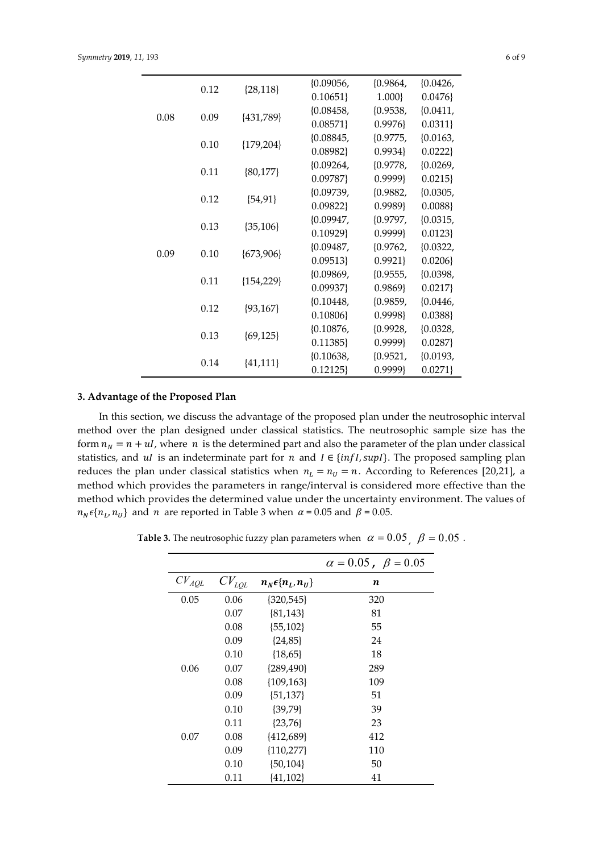|      |      |             | ${0.09056}$  | ${0.9864,$  | ${0.0426,$  |
|------|------|-------------|--------------|-------------|-------------|
|      | 0.12 | ${28,118}$  | 0.10651      | $1.000\}$   | 0.0476      |
| 0.08 | 0.09 |             | ${0.08458,}$ | ${0.9538,}$ | ${0.0411,}$ |
|      |      | ${431,789}$ | 0.08571      | 0.9976      | 0.0311      |
|      | 0.10 | ${179,204}$ | ${0.08845,}$ | ${0.9775,}$ | ${0.0163,$  |
|      |      |             | 0.08982      | 0.9934      | 0.0222      |
|      | 0.11 |             | ${0.09264,$  | ${0.9778,}$ | ${0.0269,$  |
|      |      | ${80,177}$  | 0.09787      | 0.9999}     | 0.0215      |
|      | 0.12 |             | ${0.09739,$  | ${0.9882,}$ | ${0.0305,}$ |
|      |      | ${54,91}$   | 0.09822      | 0.9989      | 0.0088      |
|      | 0.13 |             | ${0.09947,}$ | ${0.9797,}$ | ${0.0315,}$ |
|      |      | ${35,106}$  | 0.10929      | $0.9999\}$  | 0.0123      |
| 0.09 | 0.10 | ${673,906}$ | ${0.09487,}$ | ${0.9762}$  | ${0.0322}$  |
|      |      |             | 0.09513      | 0.9921      | 0.0206      |
|      | 0.11 | ${154,229}$ | ${0.09869,$  | ${0.9555,}$ | ${0.0398,}$ |
|      |      |             | 0.09937      | 0.9869      | 0.0217      |
|      | 0.12 | ${93,167}$  | ${0.10448,$  | ${0.9859,$  | ${0.0446,$  |
|      |      |             | 0.10806      | 0.9998      | 0.0388      |
|      | 0.13 | ${69,125}$  | ${0.10876,$  | ${0.9928,}$ | ${0.0328,}$ |
|      |      |             | 0.11385      | $0.9999\}$  | 0.0287      |
|      | 0.14 | ${41,111}$  | ${0.10638,}$ | ${0.9521,}$ | ${0.0193,$  |
|      |      |             | 0.12125      | 0.9999}     | 0.0271      |

### **3. Advantage of the Proposed Plan**

In this section, we discuss the advantage of the proposed plan under the neutrosophic interval method over the plan designed under classical statistics. The neutrosophic sample size has the form  $n_N = n + uI$ , where *n* is the determined part and also the parameter of the plan under classical statistics, and  $uI$  is an indeterminate part for  $n$  and  $I \in \{infI, supp\}$ . The proposed sampling plan reduces the plan under classical statistics when  $n_L = n_U = n$ . According to References [20,21], a method which provides the parameters in range/interval is considered more effective than the method which provides the determined value under the uncertainty environment. The values of  $n_N \epsilon \{n_L, n_U\}$  and *n* are reported in Table 3 when  $\alpha = 0.05$  and  $\beta = 0.05$ .

**Table 3.** The neutrosophic fuzzy plan parameters when  $\alpha = 0.05$  ,  $\beta = 0.05$ .

|            |            |                            | $\alpha = 0.05$ , $\beta = 0.05$ |
|------------|------------|----------------------------|----------------------------------|
| $CV_{AQL}$ | $CV_{LQL}$ | $n_N \epsilon\{n_L, n_U\}$ | $\boldsymbol{n}$                 |
| 0.05       | 0.06       | $\{320, 545\}$             | 320                              |
|            | 0.07       | ${81,143}$                 | 81                               |
|            | 0.08       | ${55,102}$                 | 55                               |
|            | 0.09       | ${24,85}$                  | 24                               |
|            | 0.10       | ${18,65}$                  | 18                               |
| 0.06       | 0.07       | ${289,490}$                | 289                              |
|            | 0.08       | ${109,163}$                | 109                              |
|            | 0.09       | ${51,137}$                 | 51                               |
|            | 0.10       | ${39,79}$                  | 39                               |
|            | 0.11       | ${23,76}$                  | 23                               |
| 0.07       | 0.08       | ${412,689}$                | 412                              |
|            | 0.09       | ${110,277}$                | 110                              |
|            | 0.10       | ${50,104}$                 | 50                               |
|            | 0.11       | ${41,102}$                 | 41                               |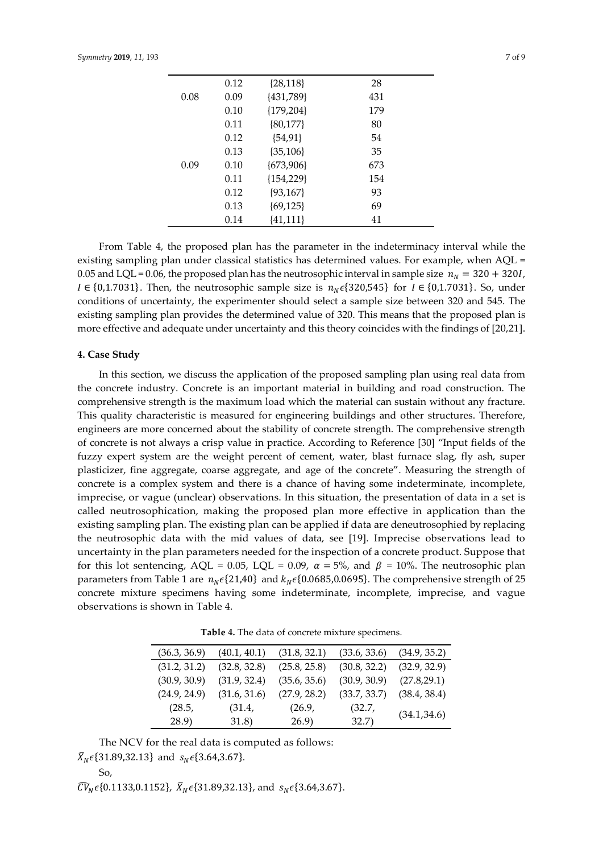|      | 0.12 | ${28,118}$  | 28  |
|------|------|-------------|-----|
| 0.08 | 0.09 | ${431,789}$ | 431 |
|      | 0.10 | ${179,204}$ | 179 |
|      | 0.11 | ${80,177}$  | 80  |
|      | 0.12 | ${54,91}$   | 54  |
|      | 0.13 | ${35,106}$  | 35  |
| 0.09 | 0.10 | ${673,906}$ | 673 |
|      | 0.11 | ${154,229}$ | 154 |
|      | 0.12 | ${93,167}$  | 93  |
|      | 0.13 | ${69,125}$  | 69  |
|      | 0.14 | ${41,111}$  | 41  |

From Table 4, the proposed plan has the parameter in the indeterminacy interval while the existing sampling plan under classical statistics has determined values. For example, when AQL = 0.05 and LQL = 0.06, the proposed plan has the neutrosophic interval in sample size  $n<sub>N</sub>$  = 320 + 320I,  $I \in \{0,1.7031\}$ . Then, the neutrosophic sample size is  $n_N \in \{320,545\}$  for  $I \in \{0,1.7031\}$ . So, under conditions of uncertainty, the experimenter should select a sample size between 320 and 545. The existing sampling plan provides the determined value of 320. This means that the proposed plan is more effective and adequate under uncertainty and this theory coincides with the findings of [20,21].

#### **4. Case Study**

In this section, we discuss the application of the proposed sampling plan using real data from the concrete industry. Concrete is an important material in building and road construction. The comprehensive strength is the maximum load which the material can sustain without any fracture. This quality characteristic is measured for engineering buildings and other structures. Therefore, engineers are more concerned about the stability of concrete strength. The comprehensive strength of concrete is not always a crisp value in practice. According to Reference [30] "Input fields of the fuzzy expert system are the weight percent of cement, water, blast furnace slag, fly ash, super plasticizer, fine aggregate, coarse aggregate, and age of the concrete". Measuring the strength of concrete is a complex system and there is a chance of having some indeterminate, incomplete, imprecise, or vague (unclear) observations. In this situation, the presentation of data in a set is called neutrosophication, making the proposed plan more effective in application than the existing sampling plan. The existing plan can be applied if data are deneutrosophied by replacing the neutrosophic data with the mid values of data, see [19]. Imprecise observations lead to uncertainty in the plan parameters needed for the inspection of a concrete product. Suppose that for this lot sentencing, AQL = 0.05, LQL = 0.09,  $\alpha = 5\%$ , and  $\beta = 10\%$ . The neutrosophic plan parameters from Table 1 are  $n_N \in \{21,40\}$  and  $k_N \in \{0.0685,0.0695\}$ . The comprehensive strength of 25 concrete mixture specimens having some indeterminate, incomplete, imprecise, and vague observations is shown in Table 4.

**Table 4.** The data of concrete mixture specimens.

| (36.3, 36.9) | (40.1, 40.1) | (31.8, 32.1) | (33.6, 33.6) | (34.9, 35.2) |
|--------------|--------------|--------------|--------------|--------------|
| (31.2, 31.2) | (32.8, 32.8) | (25.8, 25.8) | (30.8, 32.2) | (32.9, 32.9) |
| (30.9, 30.9) | (31.9, 32.4) | (35.6, 35.6) | (30.9, 30.9) | (27.8, 29.1) |
| (24.9, 24.9) | (31.6, 31.6) | (27.9, 28.2) | (33.7, 33.7) | (38.4, 38.4) |
| (28.5,       | (31.4,       | (26.9,       | (32.7,       |              |
| 28.9)        | 31.8)        | 26.9         | 32.7)        | (34.1, 34.6) |

The NCV for the real data is computed as follows:

 ${\bar{X}_N} \in \{31.89,32.13\}$  and  ${s_N} \in \{3.64,3.67\}.$ 

So,

 $\widehat{CV}_N \epsilon \{0.1133, 0.1152\}, \ \bar{X}_N \epsilon \{31.89, 32.13\}, \text{ and } \ s_N \epsilon \{3.64, 3.67\}.$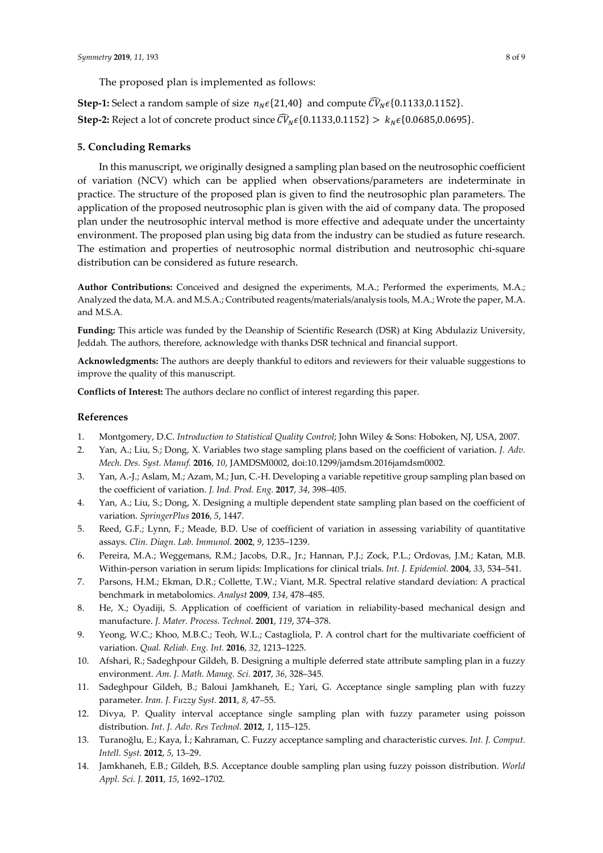The proposed plan is implemented as follows:

**Step-1:** Select a random sample of size  $n_N \in \{21,40\}$  and compute  $\widehat{CV}_N \in \{0.1133,0.1152\}$ . **Step-2:** Reject a lot of concrete product since  $\widehat{CV}_N \in \{0.1133, 0.1152\} > k_N \in \{0.0685, 0.0695\}.$ 

## **5. Concluding Remarks**

In this manuscript, we originally designed a sampling plan based on the neutrosophic coefficient of variation (NCV) which can be applied when observations/parameters are indeterminate in practice. The structure of the proposed plan is given to find the neutrosophic plan parameters. The application of the proposed neutrosophic plan is given with the aid of company data. The proposed plan under the neutrosophic interval method is more effective and adequate under the uncertainty environment. The proposed plan using big data from the industry can be studied as future research. The estimation and properties of neutrosophic normal distribution and neutrosophic chi-square distribution can be considered as future research.

**Author Contributions:** Conceived and designed the experiments, M.A.; Performed the experiments, M.A.; Analyzed the data, M.A. and M.S.A.; Contributed reagents/materials/analysis tools, M.A.; Wrote the paper, M.A. and M.S.A.

**Funding:** This article was funded by the Deanship of Scientific Research (DSR) at King Abdulaziz University, Jeddah. The authors, therefore, acknowledge with thanks DSR technical and financial support.

**Acknowledgments:** The authors are deeply thankful to editors and reviewers for their valuable suggestions to improve the quality of this manuscript.

**Conflicts of Interest:** The authors declare no conflict of interest regarding this paper.

#### **References**

- 1. Montgomery, D.C. *Introduction to Statistical Quality Control*; John Wiley & Sons: Hoboken, NJ, USA, 2007.
- 2. Yan, A.; Liu, S.; Dong, X. Variables two stage sampling plans based on the coefficient of variation. *J. Adv. Mech. Des. Syst. Manuf.* **2016**, *10*, JAMDSM0002, doi:10.1299/jamdsm.2016jamdsm0002.
- 3. Yan, A.-J.; Aslam, M.; Azam, M.; Jun, C.-H. Developing a variable repetitive group sampling plan based on the coefficient of variation. *J. Ind. Prod. Eng.* **2017**, *34*, 398–405.
- 4. Yan, A.; Liu, S.; Dong, X. Designing a multiple dependent state sampling plan based on the coefficient of variation. *SpringerPlus* **2016**, *5*, 1447.
- 5. Reed, G.F.; Lynn, F.; Meade, B.D. Use of coefficient of variation in assessing variability of quantitative assays. *Clin. Diagn. Lab. Immunol.* **2002**, *9*, 1235–1239.
- 6. Pereira, M.A.; Weggemans, R.M.; Jacobs, D.R., Jr.; Hannan, P.J.; Zock, P.L.; Ordovas, J.M.; Katan, M.B. Within-person variation in serum lipids: Implications for clinical trials. *Int. J. Epidemiol.* **2004**, *33*, 534–541.
- 7. Parsons, H.M.; Ekman, D.R.; Collette, T.W.; Viant, M.R. Spectral relative standard deviation: A practical benchmark in metabolomics. *Analyst* **2009**, *134*, 478–485.
- 8. He, X.; Oyadiji, S. Application of coefficient of variation in reliability-based mechanical design and manufacture. *J. Mater. Process. Technol.* **2001**, *119*, 374–378.
- 9. Yeong, W.C.; Khoo, M.B.C.; Teoh, W.L.; Castagliola, P. A control chart for the multivariate coefficient of variation. *Qual. Reliab. Eng. Int.* **2016**, *32*, 1213–1225.
- 10. Afshari, R.; Sadeghpour Gildeh, B. Designing a multiple deferred state attribute sampling plan in a fuzzy environment. *Am. J. Math. Manag. Sci.* **2017**, *36*, 328–345.
- 11. Sadeghpour Gildeh, B.; Baloui Jamkhaneh, E.; Yari, G. Acceptance single sampling plan with fuzzy parameter. *Iran. J. Fuzzy Syst.* **2011**, *8*, 47–55.
- 12. Divya, P. Quality interval acceptance single sampling plan with fuzzy parameter using poisson distribution. *Int. J. Adv. Res Technol.* **2012**, *1*, 115–125.
- 13. Turanoğlu, E.; Kaya, İ.; Kahraman, C. Fuzzy acceptance sampling and characteristic curves. *Int. J. Comput. Intell. Syst.* **2012**, *5*, 13–29.
- 14. Jamkhaneh, E.B.; Gildeh, B.S. Acceptance double sampling plan using fuzzy poisson distribution. *World Appl. Sci. J.* **2011**, *15*, 1692–1702.